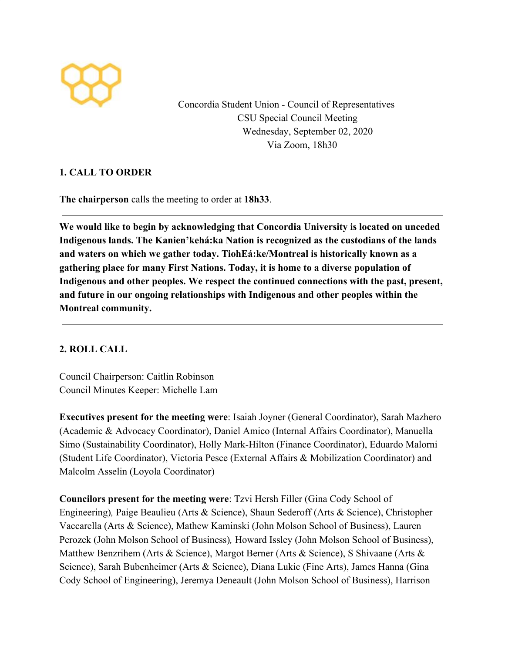

Concordia Student Union - Council of Representatives CSU Special Council Meeting Wednesday, September 02, 2020 Via Zoom, 18h30

## **1. CALL TO ORDER**

**The chairperson** calls the meeting to order at **18h33**.

**We would like to begin by acknowledging that Concordia University is located on unceded Indigenous lands. The Kanien'kehá:ka Nation is recognized as the custodians of the lands and waters on which we gather today. TiohEá:ke/Montreal is historically known as a gathering place for many First Nations. Today, it is home to a diverse population of Indigenous and other peoples. We respect the continued connections with the past, present, and future in our ongoing relationships with Indigenous and other peoples within the Montreal community.**

## **2. ROLL CALL**

Council Chairperson: Caitlin Robinson Council Minutes Keeper: Michelle Lam

**Executives present for the meeting were**: Isaiah Joyner (General Coordinator), Sarah Mazhero (Academic & Advocacy Coordinator), Daniel Amico (Internal Affairs Coordinator), Manuella Simo (Sustainability Coordinator), Holly Mark-Hilton (Finance Coordinator), Eduardo Malorni (Student Life Coordinator), Victoria Pesce (External Affairs & Mobilization Coordinator) and Malcolm Asselin (Loyola Coordinator)

**Councilors present for the meeting were**: Tzvi Hersh Filler (Gina Cody School of Engineering)*,* Paige Beaulieu (Arts & Science), Shaun Sederoff (Arts & Science), Christopher Vaccarella (Arts & Science), Mathew Kaminski (John Molson School of Business), Lauren Perozek (John Molson School of Business)*,* Howard Issley (John Molson School of Business), Matthew Benzrihem (Arts & Science), Margot Berner (Arts & Science), S Shivaane (Arts & Science), Sarah Bubenheimer (Arts & Science), Diana Lukic (Fine Arts), James Hanna (Gina Cody School of Engineering), Jeremya Deneault (John Molson School of Business), Harrison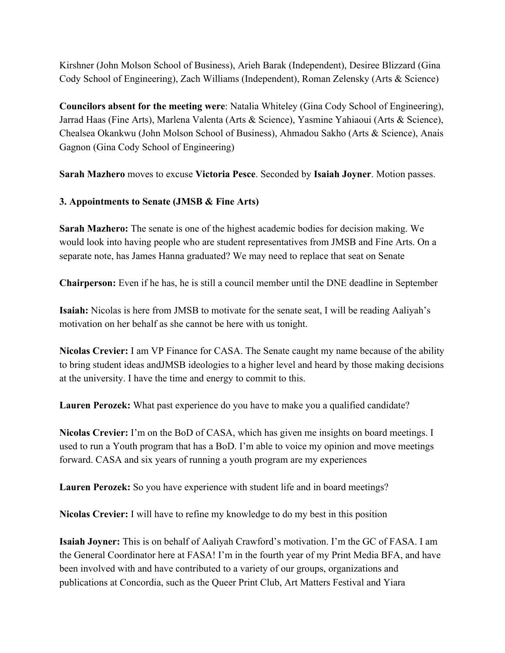Kirshner (John Molson School of Business), Arieh Barak (Independent), Desiree Blizzard (Gina Cody School of Engineering), Zach Williams (Independent), Roman Zelensky (Arts & Science)

**Councilors absent for the meeting were**: Natalia Whiteley (Gina Cody School of Engineering), Jarrad Haas (Fine Arts), Marlena Valenta (Arts & Science), Yasmine Yahiaoui (Arts & Science), Chealsea Okankwu (John Molson School of Business), Ahmadou Sakho (Arts & Science), Anais Gagnon (Gina Cody School of Engineering)

**Sarah Mazhero** moves to excuse **Victoria Pesce**. Seconded by **Isaiah Joyner**. Motion passes.

## **3. Appointments to Senate (JMSB & Fine Arts)**

**Sarah Mazhero:** The senate is one of the highest academic bodies for decision making. We would look into having people who are student representatives from JMSB and Fine Arts. On a separate note, has James Hanna graduated? We may need to replace that seat on Senate

**Chairperson:** Even if he has, he is still a council member until the DNE deadline in September

**Isaiah:** Nicolas is here from JMSB to motivate for the senate seat, I will be reading Aaliyah's motivation on her behalf as she cannot be here with us tonight.

**Nicolas Crevier:** I am VP Finance for CASA. The Senate caught my name because of the ability to bring student ideas andJMSB ideologies to a higher level and heard by those making decisions at the university. I have the time and energy to commit to this.

**Lauren Perozek:** What past experience do you have to make you a qualified candidate?

**Nicolas Crevier:** I'm on the BoD of CASA, which has given me insights on board meetings. I used to run a Youth program that has a BoD. I'm able to voice my opinion and move meetings forward. CASA and six years of running a youth program are my experiences

Lauren Perozek: So you have experience with student life and in board meetings?

**Nicolas Crevier:** I will have to refine my knowledge to do my best in this position

**Isaiah Joyner:** This is on behalf of Aaliyah Crawford's motivation. I'm the GC of FASA. I am the General Coordinator here at FASA! I'm in the fourth year of my Print Media BFA, and have been involved with and have contributed to a variety of our groups, organizations and publications at Concordia, such as the Queer Print Club, Art Matters Festival and Yiara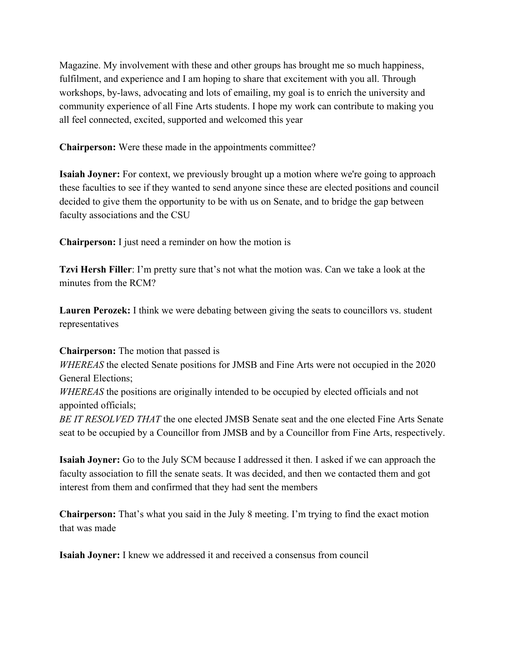Magazine. My involvement with these and other groups has brought me so much happiness, fulfilment, and experience and I am hoping to share that excitement with you all. Through workshops, by-laws, advocating and lots of emailing, my goal is to enrich the university and community experience of all Fine Arts students. I hope my work can contribute to making you all feel connected, excited, supported and welcomed this year

**Chairperson:** Were these made in the appointments committee?

**Isaiah Joyner:** For context, we previously brought up a motion where we're going to approach these faculties to see if they wanted to send anyone since these are elected positions and council decided to give them the opportunity to be with us on Senate, and to bridge the gap between faculty associations and the CSU

**Chairperson:** I just need a reminder on how the motion is

**Tzvi Hersh Filler**: I'm pretty sure that's not what the motion was. Can we take a look at the minutes from the RCM?

**Lauren Perozek:** I think we were debating between giving the seats to councillors vs. student representatives

**Chairperson:** The motion that passed is

*WHEREAS* the elected Senate positions for JMSB and Fine Arts were not occupied in the 2020 General Elections; *WHEREAS* the positions are originally intended to be occupied by elected officials and not appointed officials;

*BE IT RESOLVED THAT* the one elected JMSB Senate seat and the one elected Fine Arts Senate seat to be occupied by a Councillor from JMSB and by a Councillor from Fine Arts, respectively.

**Isaiah Joyner:** Go to the July SCM because I addressed it then. I asked if we can approach the faculty association to fill the senate seats. It was decided, and then we contacted them and got interest from them and confirmed that they had sent the members

**Chairperson:** That's what you said in the July 8 meeting. I'm trying to find the exact motion that was made

**Isaiah Joyner:** I knew we addressed it and received a consensus from council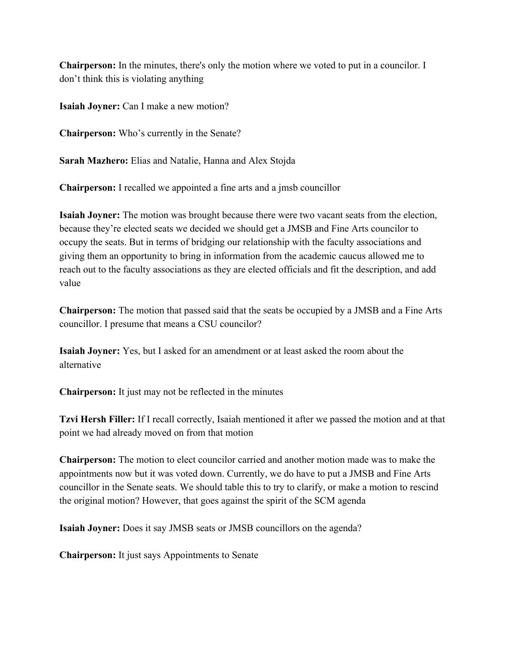**Chairperson:** In the minutes, there's only the motion where we voted to put in a councilor. I don't think this is violating anything

**Isaiah Joyner:** Can I make a new motion?

**Chairperson:** Who's currently in the Senate?

**Sarah Mazhero:** Elias and Natalie, Hanna and Alex Stojda

**Chairperson:** I recalled we appointed a fine arts and a jmsb councillor

**Isaiah Joyner:** The motion was brought because there were two vacant seats from the election, because they're elected seats we decided we should get a JMSB and Fine Arts councilor to occupy the seats. But in terms of bridging our relationship with the faculty associations and giving them an opportunity to bring in information from the academic caucus allowed me to reach out to the faculty associations as they are elected officials and fit the description, and add value

**Chairperson:** The motion that passed said that the seats be occupied by a JMSB and a Fine Arts councillor. I presume that means a CSU councilor?

**Isaiah Joyner:** Yes, but I asked for an amendment or at least asked the room about the alternative

**Chairperson:** It just may not be reflected in the minutes

**Tzvi Hersh Filler:** If I recall correctly, Isaiah mentioned it after we passed the motion and at that point we had already moved on from that motion

**Chairperson:** The motion to elect councilor carried and another motion made was to make the appointments now but it was voted down. Currently, we do have to put a JMSB and Fine Arts councillor in the Senate seats. We should table this to try to clarify, or make a motion to rescind the original motion? However, that goes against the spirit of the SCM agenda

**Isaiah Joyner:** Does it say JMSB seats or JMSB councillors on the agenda?

**Chairperson:** It just says Appointments to Senate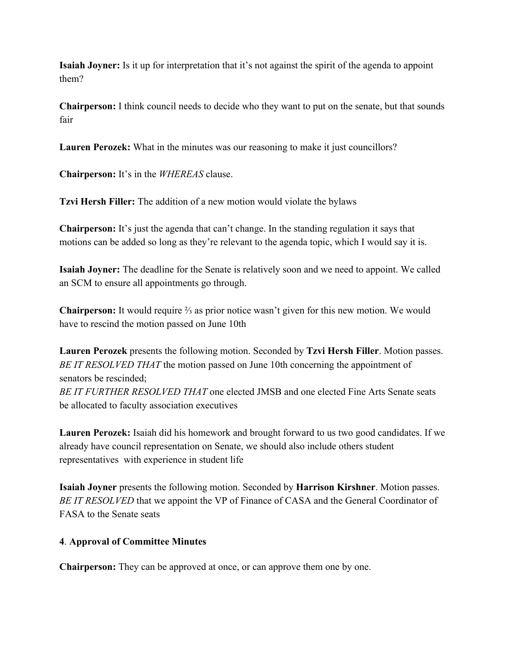**Isaiah Joyner:** Is it up for interpretation that it's not against the spirit of the agenda to appoint them?

**Chairperson:** I think council needs to decide who they want to put on the senate, but that sounds fair

**Lauren Perozek:** What in the minutes was our reasoning to make it just councillors?

**Chairperson:** It's in the *WHEREAS* clause.

**Tzvi Hersh Filler:** The addition of a new motion would violate the bylaws

**Chairperson:** It's just the agenda that can't change. In the standing regulation it says that motions can be added so long as they're relevant to the agenda topic, which I would say it is.

**Isaiah Joyner:** The deadline for the Senate is relatively soon and we need to appoint. We called an SCM to ensure all appointments go through.

**Chairperson:** It would require ⅔ as prior notice wasn't given for this new motion. We would have to rescind the motion passed on June 10th

**Lauren Perozek** presents the following motion. Seconded by **Tzvi Hersh Filler**. Motion passes. *BE IT RESOLVED THAT* the motion passed on June 10th concerning the appointment of senators be rescinded; *BE IT FURTHER RESOLVED THAT* one elected JMSB and one elected Fine Arts Senate seats be allocated to faculty association executives

**Lauren Perozek:** Isaiah did his homework and brought forward to us two good candidates. If we already have council representation on Senate, we should also include others student representatives with experience in student life

**Isaiah Joyner** presents the following motion. Seconded by **Harrison Kirshner**. Motion passes. *BE IT RESOLVED* that we appoint the VP of Finance of CASA and the General Coordinator of FASA to the Senate seats

## **4**. **Approval of Committee Minutes**

**Chairperson:** They can be approved at once, or can approve them one by one.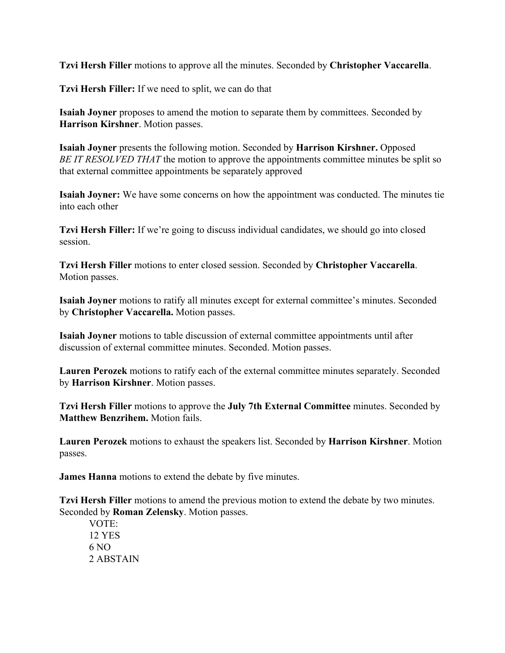**Tzvi Hersh Filler** motions to approve all the minutes. Seconded by **Christopher Vaccarella**.

**Tzvi Hersh Filler:** If we need to split, we can do that

**Isaiah Joyner** proposes to amend the motion to separate them by committees. Seconded by **Harrison Kirshner**. Motion passes.

**Isaiah Joyner** presents the following motion. Seconded by **Harrison Kirshner.** Opposed *BE IT RESOLVED THAT* the motion to approve the appointments committee minutes be split so that external committee appointments be separately approved

**Isaiah Joyner:** We have some concerns on how the appointment was conducted. The minutes tie into each other

**Tzvi Hersh Filler:** If we're going to discuss individual candidates, we should go into closed session.

**Tzvi Hersh Filler** motions to enter closed session. Seconded by **Christopher Vaccarella**. Motion passes.

**Isaiah Joyner** motions to ratify all minutes except for external committee's minutes. Seconded by **Christopher Vaccarella.** Motion passes.

**Isaiah Joyner** motions to table discussion of external committee appointments until after discussion of external committee minutes. Seconded. Motion passes.

**Lauren Perozek** motions to ratify each of the external committee minutes separately. Seconded by **Harrison Kirshner**. Motion passes.

**Tzvi Hersh Filler** motions to approve the **July 7th External Committee** minutes. Seconded by **Matthew Benzrihem.** Motion fails.

**Lauren Perozek** motions to exhaust the speakers list. Seconded by **Harrison Kirshner**. Motion passes.

**James Hanna** motions to extend the debate by five minutes.

**Tzvi Hersh Filler** motions to amend the previous motion to extend the debate by two minutes. Seconded by **Roman Zelensky**. Motion passes.

VOTE: 12 YES 6 NO 2 ABSTAIN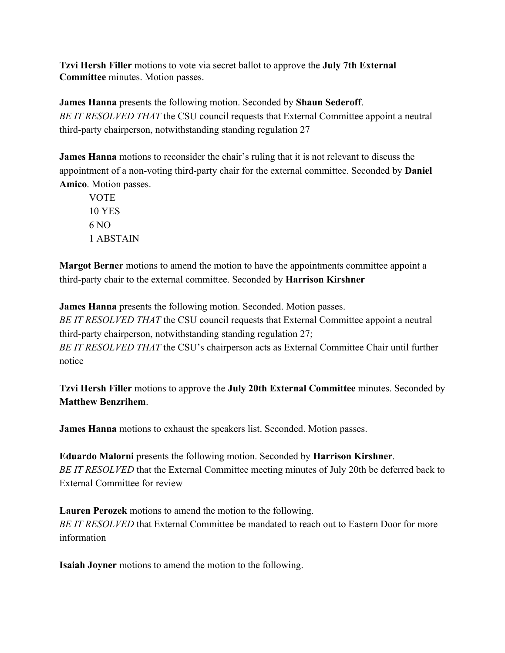**Tzvi Hersh Filler** motions to vote via secret ballot to approve the **July 7th External Committee** minutes. Motion passes.

**James Hanna** presents the following motion. Seconded by **Shaun Sederoff**. *BE IT RESOLVED THAT* the CSU council requests that External Committee appoint a neutral third-party chairperson, notwithstanding standing regulation 27

**James Hanna** motions to reconsider the chair's ruling that it is not relevant to discuss the appointment of a non-voting third-party chair for the external committee. Seconded by **Daniel Amico**. Motion passes.

VOTE 10 YES 6 NO 1 ABSTAIN

**Margot Berner** motions to amend the motion to have the appointments committee appoint a third-party chair to the external committee. Seconded by **Harrison Kirshner**

**James Hanna** presents the following motion. Seconded. Motion passes.

*BE IT RESOLVED THAT* the CSU council requests that External Committee appoint a neutral third-party chairperson, notwithstanding standing regulation 27;

*BE IT RESOLVED THAT* the CSU's chairperson acts as External Committee Chair until further notice

**Tzvi Hersh Filler** motions to approve the **July 20th External Committee** minutes. Seconded by **Matthew Benzrihem**.

**James Hanna** motions to exhaust the speakers list. Seconded. Motion passes.

**Eduardo Malorni** presents the following motion. Seconded by **Harrison Kirshner**. *BE IT RESOLVED* that the External Committee meeting minutes of July 20th be deferred back to External Committee for review

**Lauren Perozek** motions to amend the motion to the following. *BE IT RESOLVED* that External Committee be mandated to reach out to Eastern Door for more information

**Isaiah Joyner** motions to amend the motion to the following.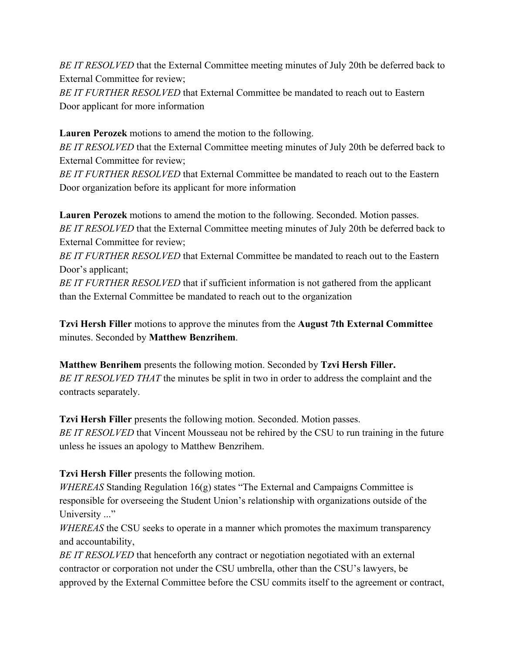*BE IT RESOLVED* that the External Committee meeting minutes of July 20th be deferred back to External Committee for review;

*BE IT FURTHER RESOLVED* that External Committee be mandated to reach out to Eastern Door applicant for more information

**Lauren Perozek** motions to amend the motion to the following.

*BE IT RESOLVED* that the External Committee meeting minutes of July 20th be deferred back to External Committee for review;

*BE IT FURTHER RESOLVED* that External Committee be mandated to reach out to the Eastern Door organization before its applicant for more information

**Lauren Perozek** motions to amend the motion to the following. Seconded. Motion passes. *BE IT RESOLVED* that the External Committee meeting minutes of July 20th be deferred back to External Committee for review;

*BE IT FURTHER RESOLVED* that External Committee be mandated to reach out to the Eastern Door's applicant;

*BE IT FURTHER RESOLVED* that if sufficient information is not gathered from the applicant than the External Committee be mandated to reach out to the organization

**Tzvi Hersh Filler** motions to approve the minutes from the **August 7th External Committee** minutes. Seconded by **Matthew Benzrihem**.

**Matthew Benrihem** presents the following motion. Seconded by **Tzvi Hersh Filler.** *BE IT RESOLVED THAT* the minutes be split in two in order to address the complaint and the contracts separately.

**Tzvi Hersh Filler** presents the following motion. Seconded. Motion passes. *BE IT RESOLVED* that Vincent Mousseau not be rehired by the CSU to run training in the future unless he issues an apology to Matthew Benzrihem.

**Tzvi Hersh Filler** presents the following motion.

*WHEREAS* Standing Regulation 16(g) states "The External and Campaigns Committee is responsible for overseeing the Student Union's relationship with organizations outside of the University ..."

*WHEREAS* the CSU seeks to operate in a manner which promotes the maximum transparency and accountability,

*BE IT RESOLVED* that henceforth any contract or negotiation negotiated with an external contractor or corporation not under the CSU umbrella, other than the CSU's lawyers, be approved by the External Committee before the CSU commits itself to the agreement or contract,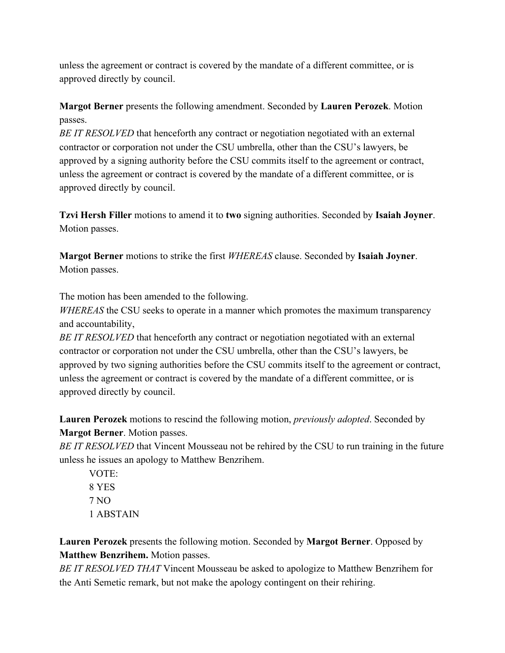unless the agreement or contract is covered by the mandate of a different committee, or is approved directly by council.

## **Margot Berner** presents the following amendment. Seconded by **Lauren Perozek**. Motion passes.

*BE IT RESOLVED* that henceforth any contract or negotiation negotiated with an external contractor or corporation not under the CSU umbrella, other than the CSU's lawyers, be approved by a signing authority before the CSU commits itself to the agreement or contract, unless the agreement or contract is covered by the mandate of a different committee, or is approved directly by council.

**Tzvi Hersh Filler** motions to amend it to **two** signing authorities. Seconded by **Isaiah Joyner**. Motion passes.

**Margot Berner** motions to strike the first *WHEREAS* clause. Seconded by **Isaiah Joyner**. Motion passes.

The motion has been amended to the following.

*WHEREAS* the CSU seeks to operate in a manner which promotes the maximum transparency and accountability,

*BE IT RESOLVED* that henceforth any contract or negotiation negotiated with an external contractor or corporation not under the CSU umbrella, other than the CSU's lawyers, be approved by two signing authorities before the CSU commits itself to the agreement or contract, unless the agreement or contract is covered by the mandate of a different committee, or is approved directly by council.

**Lauren Perozek** motions to rescind the following motion, *previously adopted*. Seconded by **Margot Berner**. Motion passes.

*BE IT RESOLVED* that Vincent Mousseau not be rehired by the CSU to run training in the future unless he issues an apology to Matthew Benzrihem.

VOTE: 8 YES 7 NO 1 ABSTAIN

**Lauren Perozek** presents the following motion. Seconded by **Margot Berner**. Opposed by **Matthew Benzrihem.** Motion passes.

*BE IT RESOLVED THAT* Vincent Mousseau be asked to apologize to Matthew Benzrihem for the Anti Semetic remark, but not make the apology contingent on their rehiring.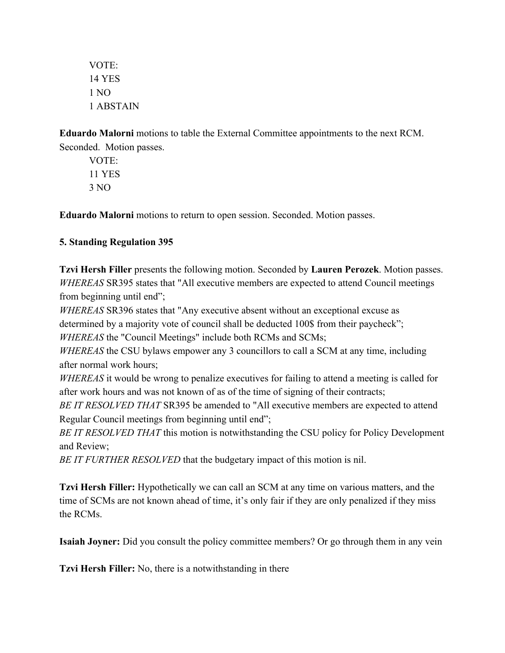VOTE: 14 YES 1 NO 1 ABSTAIN

**Eduardo Malorni** motions to table the External Committee appointments to the next RCM. Seconded. Motion passes.

VOTE: 11 YES 3 NO

**Eduardo Malorni** motions to return to open session. Seconded. Motion passes.

# **5. Standing Regulation 395**

**Tzvi Hersh Filler** presents the following motion. Seconded by **Lauren Perozek**. Motion passes. *WHEREAS* SR395 states that "All executive members are expected to attend Council meetings from beginning until end";

*WHEREAS* SR396 states that "Any executive absent without an exceptional excuse as

determined by a majority vote of council shall be deducted 100\$ from their paycheck";

*WHEREAS* the "Council Meetings" include both RCMs and SCMs;

*WHEREAS* the CSU bylaws empower any 3 councillors to call a SCM at any time, including after normal work hours;

*WHEREAS* it would be wrong to penalize executives for failing to attend a meeting is called for after work hours and was not known of as of the time of signing of their contracts;

*BE IT RESOLVED THAT* SR395 be amended to "All executive members are expected to attend Regular Council meetings from beginning until end";

*BE IT RESOLVED THAT* this motion is notwithstanding the CSU policy for Policy Development and Review;

*BE IT FURTHER RESOLVED* that the budgetary impact of this motion is nil.

**Tzvi Hersh Filler:** Hypothetically we can call an SCM at any time on various matters, and the time of SCMs are not known ahead of time, it's only fair if they are only penalized if they miss the RCMs.

**Isaiah Joyner:** Did you consult the policy committee members? Or go through them in any vein

**Tzvi Hersh Filler:** No, there is a notwithstanding in there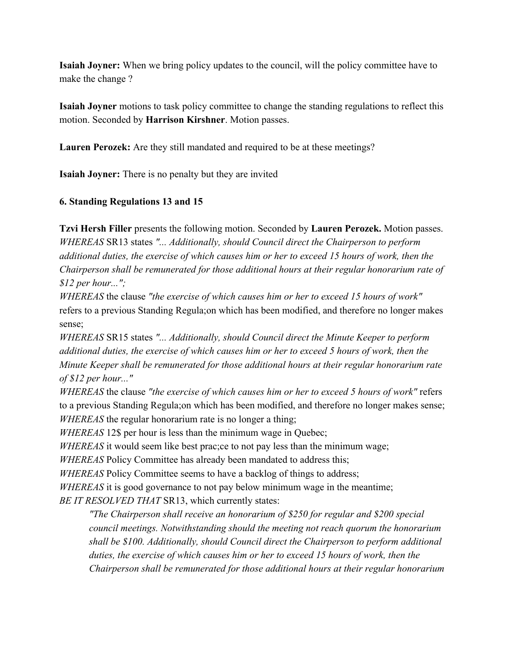**Isaiah Joyner:** When we bring policy updates to the council, will the policy committee have to make the change ?

**Isaiah Joyner** motions to task policy committee to change the standing regulations to reflect this motion. Seconded by **Harrison Kirshner**. Motion passes.

**Lauren Perozek:** Are they still mandated and required to be at these meetings?

**Isaiah Joyner:** There is no penalty but they are invited

#### **6. Standing Regulations 13 and 15**

**Tzvi Hersh Filler** presents the following motion. Seconded by **Lauren Perozek.** Motion passes. *WHEREAS* SR13 states *"... Additionally, should Council direct the Chairperson to perform additional duties, the exercise of which causes him or her to exceed 15 hours of work, then the Chairperson shall be remunerated for those additional hours at their regular honorarium rate of \$12 per hour...";*

*WHEREAS* the clause *"the exercise of which causes him or her to exceed 15 hours of work"* refers to a previous Standing Regula;on which has been modified, and therefore no longer makes sense;

*WHEREAS* SR15 states *"... Additionally, should Council direct the Minute Keeper to perform additional duties, the exercise of which causes him or her to exceed 5 hours of work, then the Minute Keeper shall be remunerated for those additional hours at their regular honorarium rate of \$12 per hour..."*

*WHEREAS* the clause *"the exercise of which causes him or her to exceed 5 hours of work"* refers to a previous Standing Regula;on which has been modified, and therefore no longer makes sense; *WHEREAS* the regular honorarium rate is no longer a thing;

*WHEREAS* 12\$ per hour is less than the minimum wage in Quebec;

*WHEREAS* it would seem like best prac;ce to not pay less than the minimum wage;

*WHEREAS* Policy Committee has already been mandated to address this;

*WHEREAS* Policy Committee seems to have a backlog of things to address;

*WHEREAS* it is good governance to not pay below minimum wage in the meantime;

*BE IT RESOLVED THAT* SR13, which currently states:

*"The Chairperson shall receive an honorarium of \$250 for regular and \$200 special council meetings. Notwithstanding should the meeting not reach quorum the honorarium shall be \$100. Additionally, should Council direct the Chairperson to perform additional duties, the exercise of which causes him or her to exceed 15 hours of work, then the Chairperson shall be remunerated for those additional hours at their regular honorarium*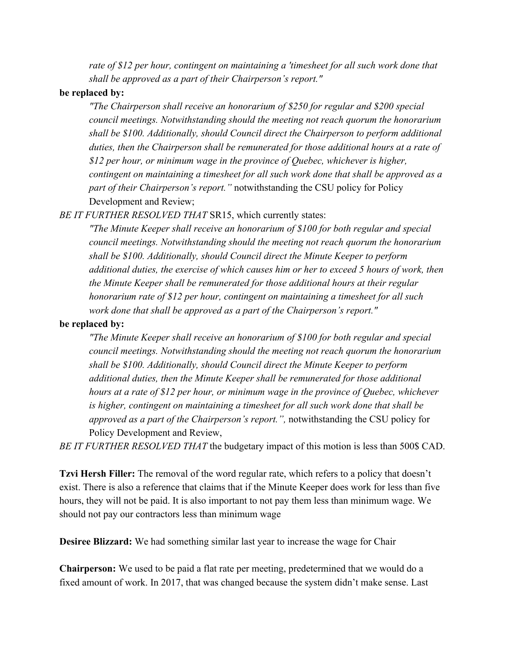*rate of \$12 per hour, contingent on maintaining a 'timesheet for all such work done that shall be approved as a part of their Chairperson's report."*

#### **be replaced by:**

*"The Chairperson shall receive an honorarium of \$250 for regular and \$200 special council meetings. Notwithstanding should the meeting not reach quorum the honorarium shall be \$100. Additionally, should Council direct the Chairperson to perform additional duties, then the Chairperson shall be remunerated for those additional hours at a rate of \$12 per hour, or minimum wage in the province of Quebec, whichever is higher, contingent on maintaining a timesheet for all such work done that shall be approved as a part of their Chairperson's report."* notwithstanding the CSU policy for Policy Development and Review;

*BE IT FURTHER RESOLVED THAT* SR15, which currently states:

*"The Minute Keeper shall receive an honorarium of \$100 for both regular and special council meetings. Notwithstanding should the meeting not reach quorum the honorarium shall be \$100. Additionally, should Council direct the Minute Keeper to perform additional duties, the exercise of which causes him or her to exceed 5 hours of work, then the Minute Keeper shall be remunerated for those additional hours at their regular honorarium rate of \$12 per hour, contingent on maintaining a timesheet for all such work done that shall be approved as a part of the Chairperson's report."*

## **be replaced by:**

*"The Minute Keeper shall receive an honorarium of \$100 for both regular and special council meetings. Notwithstanding should the meeting not reach quorum the honorarium shall be \$100. Additionally, should Council direct the Minute Keeper to perform additional duties, then the Minute Keeper shall be remunerated for those additional hours at a rate of \$12 per hour, or minimum wage in the province of Quebec, whichever is higher, contingent on maintaining a timesheet for all such work done that shall be approved as a part of the Chairperson's report.",* notwithstanding the CSU policy for Policy Development and Review,

*BE IT FURTHER RESOLVED THAT* the budgetary impact of this motion is less than 500\$ CAD.

**Tzvi Hersh Filler:** The removal of the word regular rate, which refers to a policy that doesn't exist. There is also a reference that claims that if the Minute Keeper does work for less than five hours, they will not be paid. It is also important to not pay them less than minimum wage. We should not pay our contractors less than minimum wage

**Desiree Blizzard:** We had something similar last year to increase the wage for Chair

**Chairperson:** We used to be paid a flat rate per meeting, predetermined that we would do a fixed amount of work. In 2017, that was changed because the system didn't make sense. Last